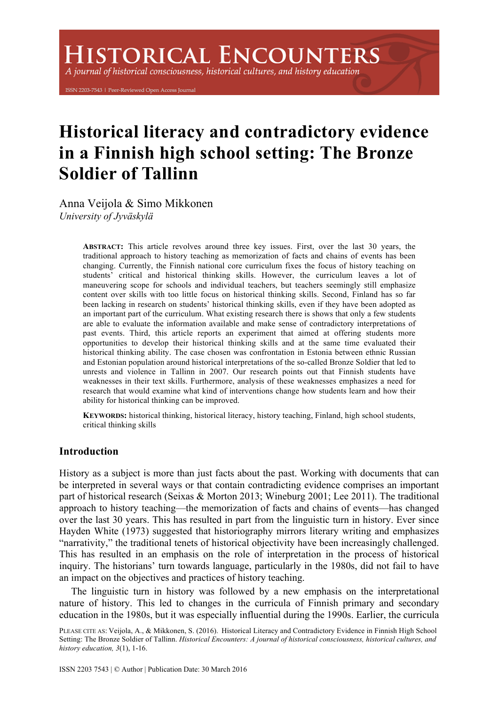A journal of historical consciousness, historical cultures, and history education

ISSN 2203-7543 | Peer-Reviewed Open Access Journal

# **Historical literacy and contradictory evidence in a Finnish high school setting: The Bronze Soldier of Tallinn**

Anna Veijola & Simo Mikkonen *University of Jyväskylä* 

> **ABSTRACT:** This article revolves around three key issues. First, over the last 30 years, the traditional approach to history teaching as memorization of facts and chains of events has been changing. Currently, the Finnish national core curriculum fixes the focus of history teaching on students' critical and historical thinking skills. However, the curriculum leaves a lot of maneuvering scope for schools and individual teachers, but teachers seemingly still emphasize content over skills with too little focus on historical thinking skills. Second, Finland has so far been lacking in research on students' historical thinking skills, even if they have been adopted as an important part of the curriculum. What existing research there is shows that only a few students are able to evaluate the information available and make sense of contradictory interpretations of past events. Third, this article reports an experiment that aimed at offering students more opportunities to develop their historical thinking skills and at the same time evaluated their historical thinking ability. The case chosen was confrontation in Estonia between ethnic Russian and Estonian population around historical interpretations of the so-called Bronze Soldier that led to unrests and violence in Tallinn in 2007. Our research points out that Finnish students have weaknesses in their text skills. Furthermore, analysis of these weaknesses emphasizes a need for research that would examine what kind of interventions change how students learn and how their ability for historical thinking can be improved.

> **KEYWORDS:** historical thinking, historical literacy, history teaching, Finland, high school students, critical thinking skills

## **Introduction**

History as a subject is more than just facts about the past. Working with documents that can be interpreted in several ways or that contain contradicting evidence comprises an important part of historical research (Seixas & Morton 2013; Wineburg 2001; Lee 2011). The traditional approach to history teaching—the memorization of facts and chains of events—has changed over the last 30 years. This has resulted in part from the linguistic turn in history. Ever since Hayden White (1973) suggested that historiography mirrors literary writing and emphasizes "narrativity," the traditional tenets of historical objectivity have been increasingly challenged. This has resulted in an emphasis on the role of interpretation in the process of historical inquiry. The historians' turn towards language, particularly in the 1980s, did not fail to have an impact on the objectives and practices of history teaching.

The linguistic turn in history was followed by a new emphasis on the interpretational nature of history. This led to changes in the curricula of Finnish primary and secondary education in the 1980s, but it was especially influential during the 1990s. Earlier, the curricula

PLEASE CITE AS: Veijola, A., & Mikkonen, S. (2016). Historical Literacy and Contradictory Evidence in Finnish High School Setting: The Bronze Soldier of Tallinn. *Historical Encounters: A journal of historical consciousness, historical cultures, and history education, 3*(1), 1-16.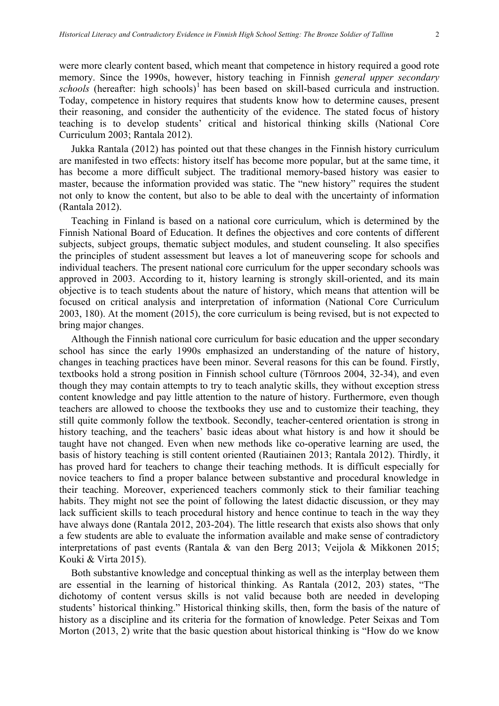were more clearly content based, which meant that competence in history required a good rote memory. Since the 1990s, however, history teaching in Finnish *general upper secondary*   $schools$  (hereafter: high schools)<sup>1</sup> has been based on skill-based curricula and instruction. Today, competence in history requires that students know how to determine causes, present their reasoning, and consider the authenticity of the evidence. The stated focus of history teaching is to develop students' critical and historical thinking skills (National Core Curriculum 2003; Rantala 2012).

Jukka Rantala (2012) has pointed out that these changes in the Finnish history curriculum are manifested in two effects: history itself has become more popular, but at the same time, it has become a more difficult subject. The traditional memory-based history was easier to master, because the information provided was static. The "new history" requires the student not only to know the content, but also to be able to deal with the uncertainty of information (Rantala 2012).

Teaching in Finland is based on a national core curriculum, which is determined by the Finnish National Board of Education. It defines the objectives and core contents of different subjects, subject groups, thematic subject modules, and student counseling. It also specifies the principles of student assessment but leaves a lot of maneuvering scope for schools and individual teachers. The present national core curriculum for the upper secondary schools was approved in 2003. According to it, history learning is strongly skill-oriented, and its main objective is to teach students about the nature of history, which means that attention will be focused on critical analysis and interpretation of information (National Core Curriculum 2003, 180). At the moment (2015), the core curriculum is being revised, but is not expected to bring major changes.

Although the Finnish national core curriculum for basic education and the upper secondary school has since the early 1990s emphasized an understanding of the nature of history, changes in teaching practices have been minor. Several reasons for this can be found. Firstly, textbooks hold a strong position in Finnish school culture (Törnroos 2004, 32-34), and even though they may contain attempts to try to teach analytic skills, they without exception stress content knowledge and pay little attention to the nature of history. Furthermore, even though teachers are allowed to choose the textbooks they use and to customize their teaching, they still quite commonly follow the textbook. Secondly, teacher-centered orientation is strong in history teaching, and the teachers' basic ideas about what history is and how it should be taught have not changed. Even when new methods like co-operative learning are used, the basis of history teaching is still content oriented (Rautiainen 2013; Rantala 2012). Thirdly, it has proved hard for teachers to change their teaching methods. It is difficult especially for novice teachers to find a proper balance between substantive and procedural knowledge in their teaching. Moreover, experienced teachers commonly stick to their familiar teaching habits. They might not see the point of following the latest didactic discussion, or they may lack sufficient skills to teach procedural history and hence continue to teach in the way they have always done (Rantala 2012, 203-204). The little research that exists also shows that only a few students are able to evaluate the information available and make sense of contradictory interpretations of past events (Rantala & van den Berg 2013; Veijola & Mikkonen 2015; Kouki & Virta 2015).

Both substantive knowledge and conceptual thinking as well as the interplay between them are essential in the learning of historical thinking. As Rantala (2012, 203) states, "The dichotomy of content versus skills is not valid because both are needed in developing students' historical thinking." Historical thinking skills, then, form the basis of the nature of history as a discipline and its criteria for the formation of knowledge. Peter Seixas and Tom Morton (2013, 2) write that the basic question about historical thinking is "How do we know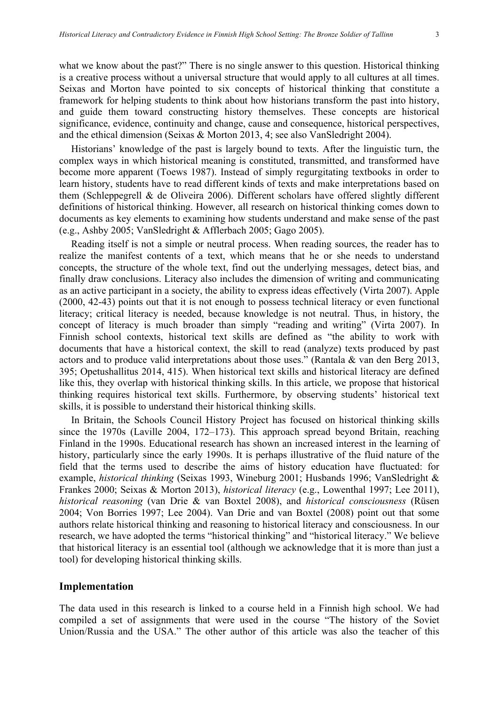what we know about the past?" There is no single answer to this question. Historical thinking is a creative process without a universal structure that would apply to all cultures at all times. Seixas and Morton have pointed to six concepts of historical thinking that constitute a framework for helping students to think about how historians transform the past into history, and guide them toward constructing history themselves. These concepts are historical significance, evidence, continuity and change, cause and consequence, historical perspectives, and the ethical dimension (Seixas & Morton 2013, 4; see also VanSledright 2004).

Historians' knowledge of the past is largely bound to texts. After the linguistic turn, the complex ways in which historical meaning is constituted, transmitted, and transformed have become more apparent (Toews 1987). Instead of simply regurgitating textbooks in order to learn history, students have to read different kinds of texts and make interpretations based on them (Schleppegrell & de Oliveira 2006). Different scholars have offered slightly different definitions of historical thinking. However, all research on historical thinking comes down to documents as key elements to examining how students understand and make sense of the past (e.g., Ashby 2005; VanSledright & Afflerbach 2005; Gago 2005).

Reading itself is not a simple or neutral process. When reading sources, the reader has to realize the manifest contents of a text, which means that he or she needs to understand concepts, the structure of the whole text, find out the underlying messages, detect bias, and finally draw conclusions. Literacy also includes the dimension of writing and communicating as an active participant in a society, the ability to express ideas effectively (Virta 2007). Apple (2000, 42-43) points out that it is not enough to possess technical literacy or even functional literacy; critical literacy is needed, because knowledge is not neutral. Thus, in history, the concept of literacy is much broader than simply "reading and writing" (Virta 2007). In Finnish school contexts, historical text skills are defined as "the ability to work with documents that have a historical context, the skill to read (analyze) texts produced by past actors and to produce valid interpretations about those uses." (Rantala & van den Berg 2013, 395; Opetushallitus 2014, 415). When historical text skills and historical literacy are defined like this, they overlap with historical thinking skills. In this article, we propose that historical thinking requires historical text skills. Furthermore, by observing students' historical text skills, it is possible to understand their historical thinking skills.

In Britain, the Schools Council History Project has focused on historical thinking skills since the 1970s (Laville 2004, 172–173). This approach spread beyond Britain, reaching Finland in the 1990s. Educational research has shown an increased interest in the learning of history, particularly since the early 1990s. It is perhaps illustrative of the fluid nature of the field that the terms used to describe the aims of history education have fluctuated: for example, *historical thinking* (Seixas 1993, Wineburg 2001; Husbands 1996; VanSledright & Frankes 2000; Seixas & Morton 2013), *historical literacy* (e.g., Lowenthal 1997; Lee 2011), *historical reasoning* (van Drie & van Boxtel 2008), and *historical consciousness* (Rüsen 2004; Von Borries 1997; Lee 2004). Van Drie and van Boxtel (2008) point out that some authors relate historical thinking and reasoning to historical literacy and consciousness. In our research, we have adopted the terms "historical thinking" and "historical literacy." We believe that historical literacy is an essential tool (although we acknowledge that it is more than just a tool) for developing historical thinking skills.

#### **Implementation**

The data used in this research is linked to a course held in a Finnish high school. We had compiled a set of assignments that were used in the course "The history of the Soviet Union/Russia and the USA." The other author of this article was also the teacher of this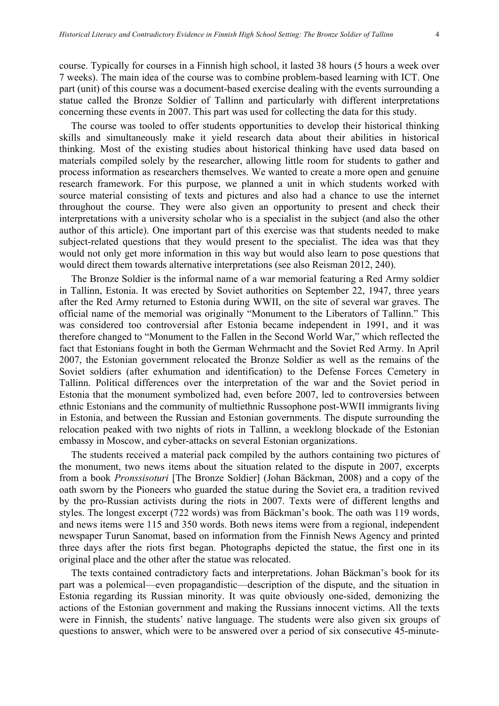course. Typically for courses in a Finnish high school, it lasted 38 hours (5 hours a week over 7 weeks). The main idea of the course was to combine problem-based learning with ICT. One part (unit) of this course was a document-based exercise dealing with the events surrounding a statue called the Bronze Soldier of Tallinn and particularly with different interpretations concerning these events in 2007. This part was used for collecting the data for this study.

The course was tooled to offer students opportunities to develop their historical thinking skills and simultaneously make it yield research data about their abilities in historical thinking. Most of the existing studies about historical thinking have used data based on materials compiled solely by the researcher, allowing little room for students to gather and process information as researchers themselves. We wanted to create a more open and genuine research framework. For this purpose, we planned a unit in which students worked with source material consisting of texts and pictures and also had a chance to use the internet throughout the course. They were also given an opportunity to present and check their interpretations with a university scholar who is a specialist in the subject (and also the other author of this article). One important part of this exercise was that students needed to make subject-related questions that they would present to the specialist. The idea was that they would not only get more information in this way but would also learn to pose questions that would direct them towards alternative interpretations (see also Reisman 2012, 240).

The Bronze Soldier is the informal name of a war memorial featuring a Red Army soldier in Tallinn, Estonia. It was erected by Soviet authorities on September 22, 1947, three years after the Red Army returned to Estonia during WWII, on the site of several war graves. The official name of the memorial was originally "Monument to the Liberators of Tallinn." This was considered too controversial after Estonia became independent in 1991, and it was therefore changed to "Monument to the Fallen in the Second World War," which reflected the fact that Estonians fought in both the German Wehrmacht and the Soviet Red Army. In April 2007, the Estonian government relocated the Bronze Soldier as well as the remains of the Soviet soldiers (after exhumation and identification) to the Defense Forces Cemetery in Tallinn. Political differences over the interpretation of the war and the Soviet period in Estonia that the monument symbolized had, even before 2007, led to controversies between ethnic Estonians and the community of multiethnic Russophone post-WWII immigrants living in Estonia, and between the Russian and Estonian governments. The dispute surrounding the relocation peaked with two nights of riots in Tallinn, a weeklong blockade of the Estonian embassy in Moscow, and cyber-attacks on several Estonian organizations.

The students received a material pack compiled by the authors containing two pictures of the monument, two news items about the situation related to the dispute in 2007, excerpts from a book *Pronssisoturi* [The Bronze Soldier] (Johan Bäckman, 2008) and a copy of the oath sworn by the Pioneers who guarded the statue during the Soviet era, a tradition revived by the pro-Russian activists during the riots in 2007. Texts were of different lengths and styles. The longest excerpt (722 words) was from Bäckman's book. The oath was 119 words, and news items were 115 and 350 words. Both news items were from a regional, independent newspaper Turun Sanomat, based on information from the Finnish News Agency and printed three days after the riots first began. Photographs depicted the statue, the first one in its original place and the other after the statue was relocated.

The texts contained contradictory facts and interpretations. Johan Bäckman's book for its part was a polemical—even propagandistic—description of the dispute, and the situation in Estonia regarding its Russian minority. It was quite obviously one-sided, demonizing the actions of the Estonian government and making the Russians innocent victims. All the texts were in Finnish, the students' native language. The students were also given six groups of questions to answer, which were to be answered over a period of six consecutive 45-minute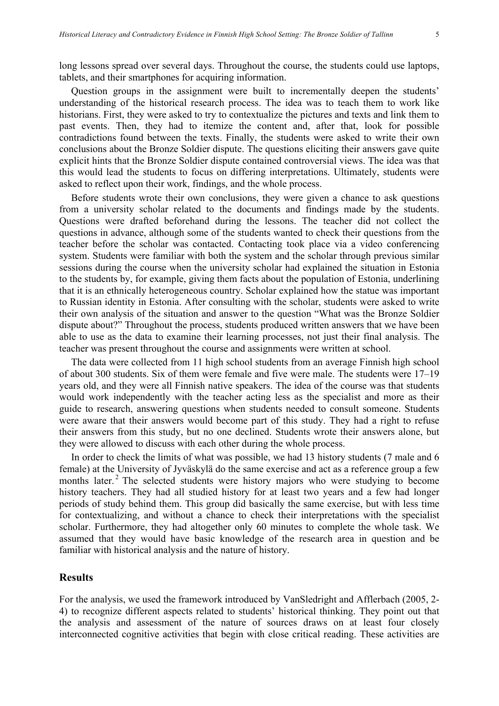long lessons spread over several days. Throughout the course, the students could use laptops, tablets, and their smartphones for acquiring information.

Question groups in the assignment were built to incrementally deepen the students' understanding of the historical research process. The idea was to teach them to work like historians. First, they were asked to try to contextualize the pictures and texts and link them to past events. Then, they had to itemize the content and, after that, look for possible contradictions found between the texts. Finally, the students were asked to write their own conclusions about the Bronze Soldier dispute. The questions eliciting their answers gave quite explicit hints that the Bronze Soldier dispute contained controversial views. The idea was that this would lead the students to focus on differing interpretations. Ultimately, students were asked to reflect upon their work, findings, and the whole process.

Before students wrote their own conclusions, they were given a chance to ask questions from a university scholar related to the documents and findings made by the students. Questions were drafted beforehand during the lessons. The teacher did not collect the questions in advance, although some of the students wanted to check their questions from the teacher before the scholar was contacted. Contacting took place via a video conferencing system. Students were familiar with both the system and the scholar through previous similar sessions during the course when the university scholar had explained the situation in Estonia to the students by, for example, giving them facts about the population of Estonia, underlining that it is an ethnically heterogeneous country. Scholar explained how the statue was important to Russian identity in Estonia. After consulting with the scholar, students were asked to write their own analysis of the situation and answer to the question "What was the Bronze Soldier dispute about?" Throughout the process, students produced written answers that we have been able to use as the data to examine their learning processes, not just their final analysis. The teacher was present throughout the course and assignments were written at school.

The data were collected from 11 high school students from an average Finnish high school of about 300 students. Six of them were female and five were male. The students were 17–19 years old, and they were all Finnish native speakers. The idea of the course was that students would work independently with the teacher acting less as the specialist and more as their guide to research, answering questions when students needed to consult someone. Students were aware that their answers would become part of this study. They had a right to refuse their answers from this study, but no one declined. Students wrote their answers alone, but they were allowed to discuss with each other during the whole process.

In order to check the limits of what was possible, we had 13 history students (7 male and 6 female) at the University of Jyväskylä do the same exercise and act as a reference group a few months later.<sup>2</sup> The selected students were history majors who were studying to become history teachers. They had all studied history for at least two years and a few had longer periods of study behind them. This group did basically the same exercise, but with less time for contextualizing, and without a chance to check their interpretations with the specialist scholar. Furthermore, they had altogether only 60 minutes to complete the whole task. We assumed that they would have basic knowledge of the research area in question and be familiar with historical analysis and the nature of history.

#### **Results**

For the analysis, we used the framework introduced by VanSledright and Afflerbach (2005, 2- 4) to recognize different aspects related to students' historical thinking. They point out that the analysis and assessment of the nature of sources draws on at least four closely interconnected cognitive activities that begin with close critical reading. These activities are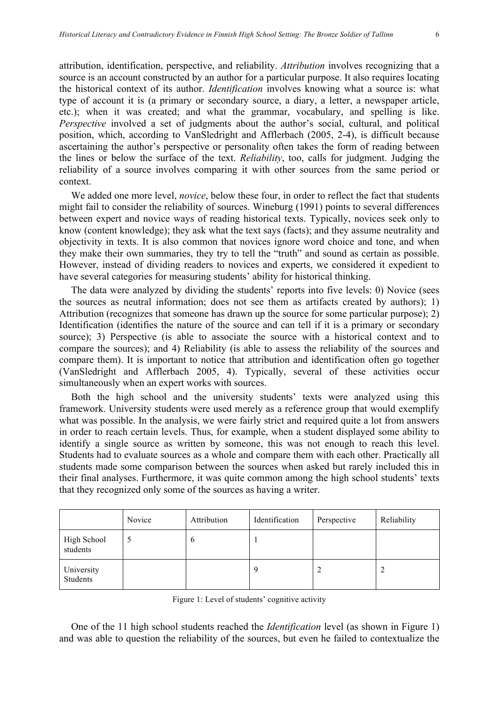attribution, identification, perspective, and reliability. *Attribution* involves recognizing that a source is an account constructed by an author for a particular purpose. It also requires locating the historical context of its author. *Identification* involves knowing what a source is: what type of account it is (a primary or secondary source, a diary, a letter, a newspaper article, etc.); when it was created; and what the grammar, vocabulary, and spelling is like. *Perspective* involved a set of judgments about the author's social, cultural, and political position, which, according to VanSledright and Afflerbach (2005, 2-4), is difficult because ascertaining the author's perspective or personality often takes the form of reading between the lines or below the surface of the text. *Reliability*, too, calls for judgment. Judging the reliability of a source involves comparing it with other sources from the same period or context.

We added one more level, *novice*, below these four, in order to reflect the fact that students might fail to consider the reliability of sources. Wineburg (1991) points to several differences between expert and novice ways of reading historical texts. Typically, novices seek only to know (content knowledge); they ask what the text says (facts); and they assume neutrality and objectivity in texts. It is also common that novices ignore word choice and tone, and when they make their own summaries, they try to tell the "truth" and sound as certain as possible. However, instead of dividing readers to novices and experts, we considered it expedient to have several categories for measuring students' ability for historical thinking.

The data were analyzed by dividing the students' reports into five levels: 0) Novice (sees the sources as neutral information; does not see them as artifacts created by authors); 1) Attribution (recognizes that someone has drawn up the source for some particular purpose); 2) Identification (identifies the nature of the source and can tell if it is a primary or secondary source); 3) Perspective (is able to associate the source with a historical context and to compare the sources); and 4) Reliability (is able to assess the reliability of the sources and compare them). It is important to notice that attribution and identification often go together (VanSledright and Afflerbach 2005, 4). Typically, several of these activities occur simultaneously when an expert works with sources.

Both the high school and the university students' texts were analyzed using this framework. University students were used merely as a reference group that would exemplify what was possible. In the analysis, we were fairly strict and required quite a lot from answers in order to reach certain levels. Thus, for example, when a student displayed some ability to identify a single source as written by someone, this was not enough to reach this level. Students had to evaluate sources as a whole and compare them with each other. Practically all students made some comparison between the sources when asked but rarely included this in their final analyses. Furthermore, it was quite common among the high school students' texts that they recognized only some of the sources as having a writer.

|                         | Novice | Attribution | Identification | Perspective | Reliability |
|-------------------------|--------|-------------|----------------|-------------|-------------|
| High School<br>students |        | $\mathbf b$ |                |             |             |
| University<br>Students  |        |             | 9              | ∠           | 2           |

Figure 1: Level of students' cognitive activity

One of the 11 high school students reached the *Identification* level (as shown in Figure 1) and was able to question the reliability of the sources, but even he failed to contextualize the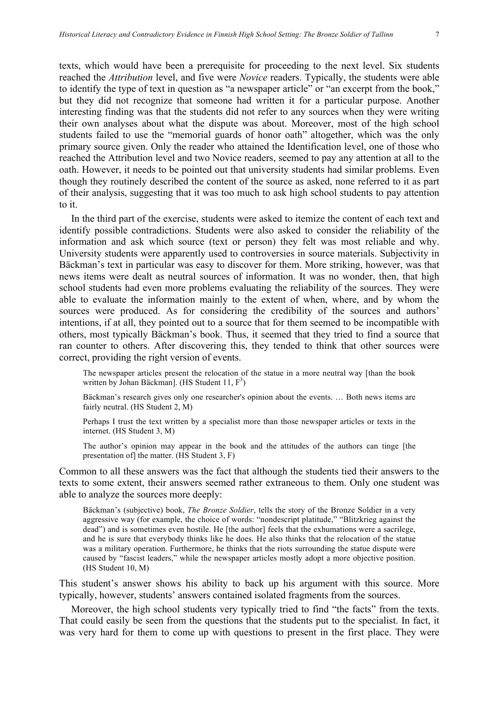texts, which would have been a prerequisite for proceeding to the next level. Six students reached the *Attribution* level, and five were *Novice* readers. Typically, the students were able to identify the type of text in question as "a newspaper article" or "an excerpt from the book," but they did not recognize that someone had written it for a particular purpose. Another interesting finding was that the students did not refer to any sources when they were writing their own analyses about what the dispute was about. Moreover, most of the high school students failed to use the "memorial guards of honor oath" altogether, which was the only primary source given. Only the reader who attained the Identification level, one of those who reached the Attribution level and two Novice readers, seemed to pay any attention at all to the oath. However, it needs to be pointed out that university students had similar problems. Even though they routinely described the content of the source as asked, none referred to it as part of their analysis, suggesting that it was too much to ask high school students to pay attention to it.

In the third part of the exercise, students were asked to itemize the content of each text and identify possible contradictions. Students were also asked to consider the reliability of the information and ask which source (text or person) they felt was most reliable and why. University students were apparently used to controversies in source materials. Subjectivity in Bäckman's text in particular was easy to discover for them. More striking, however, was that news items were dealt as neutral sources of information. It was no wonder, then, that high school students had even more problems evaluating the reliability of the sources. They were able to evaluate the information mainly to the extent of when, where, and by whom the sources were produced. As for considering the credibility of the sources and authors' intentions, if at all, they pointed out to a source that for them seemed to be incompatible with others, most typically Bäckman's book. Thus, it seemed that they tried to find a source that ran counter to others. After discovering this, they tended to think that other sources were correct, providing the right version of events.

The newspaper articles present the relocation of the statue in a more neutral way [than the book written by Johan Bäckman]. (HS Student 11,  $F^3$ )

Bäckman's research gives only one researcher's opinion about the events. … Both news items are fairly neutral. (HS Student 2, M)

Perhaps I trust the text written by a specialist more than those newspaper articles or texts in the internet. (HS Student 3, M)

The author's opinion may appear in the book and the attitudes of the authors can tinge [the presentation of] the matter. (HS Student 3, F)

Common to all these answers was the fact that although the students tied their answers to the texts to some extent, their answers seemed rather extraneous to them. Only one student was able to analyze the sources more deeply:

Bäckman's (subjective) book, *The Bronze Soldier*, tells the story of the Bronze Soldier in a very aggressive way (for example, the choice of words: "nondescript platitude," "Blitzkrieg against the dead") and is sometimes even hostile. He [the author] feels that the exhumations were a sacrilege, and he is sure that everybody thinks like he does. He also thinks that the relocation of the statue was a military operation. Furthermore, he thinks that the riots surrounding the statue dispute were caused by "fascist leaders," while the newspaper articles mostly adopt a more objective position. (HS Student 10, M)

This student's answer shows his ability to back up his argument with this source. More typically, however, students' answers contained isolated fragments from the sources.

Moreover, the high school students very typically tried to find "the facts" from the texts. That could easily be seen from the questions that the students put to the specialist. In fact, it was very hard for them to come up with questions to present in the first place. They were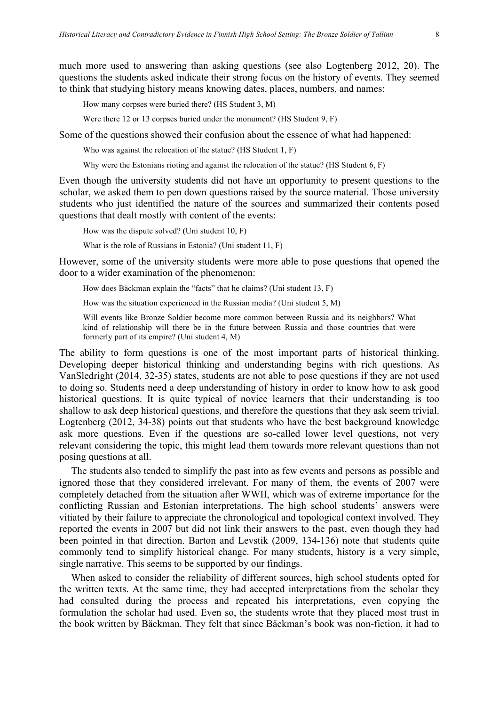much more used to answering than asking questions (see also Logtenberg 2012, 20). The questions the students asked indicate their strong focus on the history of events. They seemed to think that studying history means knowing dates, places, numbers, and names:

How many corpses were buried there? (HS Student 3, M)

Were there 12 or 13 corpses buried under the monument? (HS Student 9, F)

Some of the questions showed their confusion about the essence of what had happened:

Who was against the relocation of the statue? (HS Student 1, F)

Why were the Estonians rioting and against the relocation of the statue? (HS Student 6, F)

Even though the university students did not have an opportunity to present questions to the scholar, we asked them to pen down questions raised by the source material. Those university students who just identified the nature of the sources and summarized their contents posed questions that dealt mostly with content of the events:

How was the dispute solved? (Uni student 10, F)

What is the role of Russians in Estonia? (Uni student 11, F)

However, some of the university students were more able to pose questions that opened the door to a wider examination of the phenomenon:

How does Bäckman explain the "facts" that he claims? (Uni student 13, F)

How was the situation experienced in the Russian media? (Uni student 5, M)

Will events like Bronze Soldier become more common between Russia and its neighbors? What kind of relationship will there be in the future between Russia and those countries that were formerly part of its empire? (Uni student 4, M)

The ability to form questions is one of the most important parts of historical thinking. Developing deeper historical thinking and understanding begins with rich questions. As VanSledright (2014, 32-35) states, students are not able to pose questions if they are not used to doing so. Students need a deep understanding of history in order to know how to ask good historical questions. It is quite typical of novice learners that their understanding is too shallow to ask deep historical questions, and therefore the questions that they ask seem trivial. Logtenberg (2012, 34-38) points out that students who have the best background knowledge ask more questions. Even if the questions are so-called lower level questions, not very relevant considering the topic, this might lead them towards more relevant questions than not posing questions at all.

The students also tended to simplify the past into as few events and persons as possible and ignored those that they considered irrelevant. For many of them, the events of 2007 were completely detached from the situation after WWII, which was of extreme importance for the conflicting Russian and Estonian interpretations. The high school students' answers were vitiated by their failure to appreciate the chronological and topological context involved. They reported the events in 2007 but did not link their answers to the past, even though they had been pointed in that direction. Barton and Levstik (2009, 134-136) note that students quite commonly tend to simplify historical change. For many students, history is a very simple, single narrative. This seems to be supported by our findings.

When asked to consider the reliability of different sources, high school students opted for the written texts. At the same time, they had accepted interpretations from the scholar they had consulted during the process and repeated his interpretations, even copying the formulation the scholar had used. Even so, the students wrote that they placed most trust in the book written by Bäckman. They felt that since Bäckman's book was non-fiction, it had to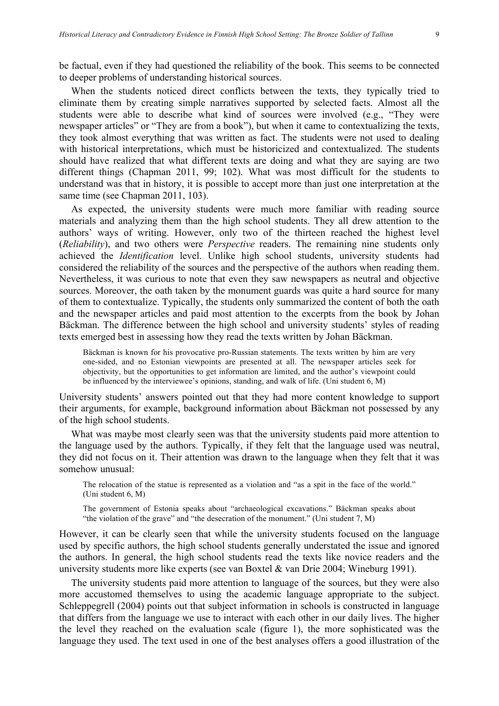be factual, even if they had questioned the reliability of the book. This seems to be connected to deeper problems of understanding historical sources.

When the students noticed direct conflicts between the texts, they typically tried to eliminate them by creating simple narratives supported by selected facts. Almost all the students were able to describe what kind of sources were involved (e.g., "They were newspaper articles" or "They are from a book"), but when it came to contextualizing the texts, they took almost everything that was written as fact. The students were not used to dealing with historical interpretations, which must be historicized and contextualized. The students should have realized that what different texts are doing and what they are saying are two different things (Chapman 2011, 99; 102). What was most difficult for the students to understand was that in history, it is possible to accept more than just one interpretation at the same time (see Chapman 2011, 103).

As expected, the university students were much more familiar with reading source materials and analyzing them than the high school students. They all drew attention to the authors' ways of writing. However, only two of the thirteen reached the highest level (*Reliability*), and two others were *Perspective* readers. The remaining nine students only achieved the *Identification* level. Unlike high school students, university students had considered the reliability of the sources and the perspective of the authors when reading them. Nevertheless, it was curious to note that even they saw newspapers as neutral and objective sources. Moreover, the oath taken by the monument guards was quite a hard source for many of them to contextualize. Typically, the students only summarized the content of both the oath and the newspaper articles and paid most attention to the excerpts from the book by Johan Bäckman. The difference between the high school and university students' styles of reading texts emerged best in assessing how they read the texts written by Johan Bäckman.

Bäckman is known for his provocative pro-Russian statements. The texts written by him are very one-sided, and no Estonian viewpoints are presented at all. The newspaper articles seek for objectivity, but the opportunities to get information are limited, and the author's viewpoint could be influenced by the interviewee's opinions, standing, and walk of life. (Uni student 6, M)

University students' answers pointed out that they had more content knowledge to support their arguments, for example, background information about Bäckman not possessed by any of the high school students.

What was maybe most clearly seen was that the university students paid more attention to the language used by the authors. Typically, if they felt that the language used was neutral, they did not focus on it. Their attention was drawn to the language when they felt that it was somehow unusual:

The relocation of the statue is represented as a violation and "as a spit in the face of the world." (Uni student 6, M)

The government of Estonia speaks about "archaeological excavations." Bäckman speaks about "the violation of the grave" and "the desecration of the monument." (Uni student 7, M)

However, it can be clearly seen that while the university students focused on the language used by specific authors, the high school students generally understated the issue and ignored the authors. In general, the high school students read the texts like novice readers and the university students more like experts (see van Boxtel & van Drie 2004; Wineburg 1991).

The university students paid more attention to language of the sources, but they were also more accustomed themselves to using the academic language appropriate to the subject. Schleppegrell (2004) points out that subject information in schools is constructed in language that differs from the language we use to interact with each other in our daily lives. The higher the level they reached on the evaluation scale (figure 1), the more sophisticated was the language they used. The text used in one of the best analyses offers a good illustration of the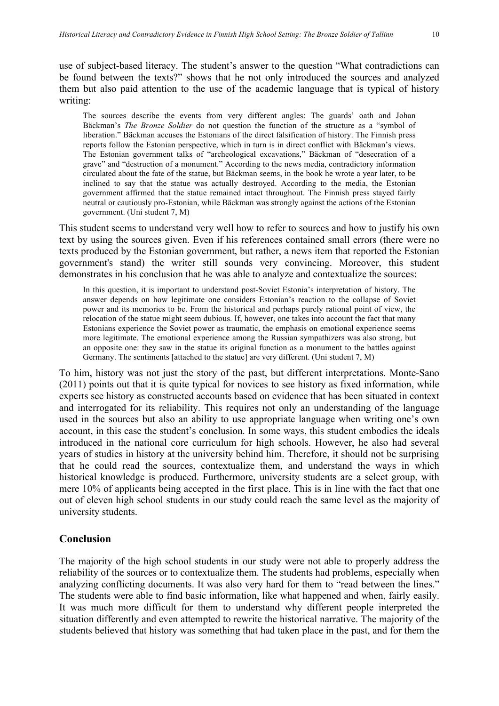use of subject-based literacy. The student's answer to the question "What contradictions can be found between the texts?" shows that he not only introduced the sources and analyzed them but also paid attention to the use of the academic language that is typical of history writing:

The sources describe the events from very different angles: The guards' oath and Johan Bäckman's *The Bronze Soldier* do not question the function of the structure as a "symbol of liberation." Bäckman accuses the Estonians of the direct falsification of history. The Finnish press reports follow the Estonian perspective, which in turn is in direct conflict with Bäckman's views. The Estonian government talks of "archeological excavations," Bäckman of "desecration of a grave" and "destruction of a monument." According to the news media, contradictory information circulated about the fate of the statue, but Bäckman seems, in the book he wrote a year later, to be inclined to say that the statue was actually destroyed. According to the media, the Estonian government affirmed that the statue remained intact throughout. The Finnish press stayed fairly neutral or cautiously pro-Estonian, while Bäckman was strongly against the actions of the Estonian government. (Uni student 7, M)

This student seems to understand very well how to refer to sources and how to justify his own text by using the sources given. Even if his references contained small errors (there were no texts produced by the Estonian government, but rather, a news item that reported the Estonian government's stand) the writer still sounds very convincing. Moreover, this student demonstrates in his conclusion that he was able to analyze and contextualize the sources:

In this question, it is important to understand post-Soviet Estonia's interpretation of history. The answer depends on how legitimate one considers Estonian's reaction to the collapse of Soviet power and its memories to be. From the historical and perhaps purely rational point of view, the relocation of the statue might seem dubious. If, however, one takes into account the fact that many Estonians experience the Soviet power as traumatic, the emphasis on emotional experience seems more legitimate. The emotional experience among the Russian sympathizers was also strong, but an opposite one: they saw in the statue its original function as a monument to the battles against Germany. The sentiments [attached to the statue] are very different. (Uni student 7, M)

To him, history was not just the story of the past, but different interpretations. Monte-Sano (2011) points out that it is quite typical for novices to see history as fixed information, while experts see history as constructed accounts based on evidence that has been situated in context and interrogated for its reliability. This requires not only an understanding of the language used in the sources but also an ability to use appropriate language when writing one's own account, in this case the student's conclusion. In some ways, this student embodies the ideals introduced in the national core curriculum for high schools. However, he also had several years of studies in history at the university behind him. Therefore, it should not be surprising that he could read the sources, contextualize them, and understand the ways in which historical knowledge is produced. Furthermore, university students are a select group, with mere 10% of applicants being accepted in the first place. This is in line with the fact that one out of eleven high school students in our study could reach the same level as the majority of university students.

## **Conclusion**

The majority of the high school students in our study were not able to properly address the reliability of the sources or to contextualize them. The students had problems, especially when analyzing conflicting documents. It was also very hard for them to "read between the lines." The students were able to find basic information, like what happened and when, fairly easily. It was much more difficult for them to understand why different people interpreted the situation differently and even attempted to rewrite the historical narrative. The majority of the students believed that history was something that had taken place in the past, and for them the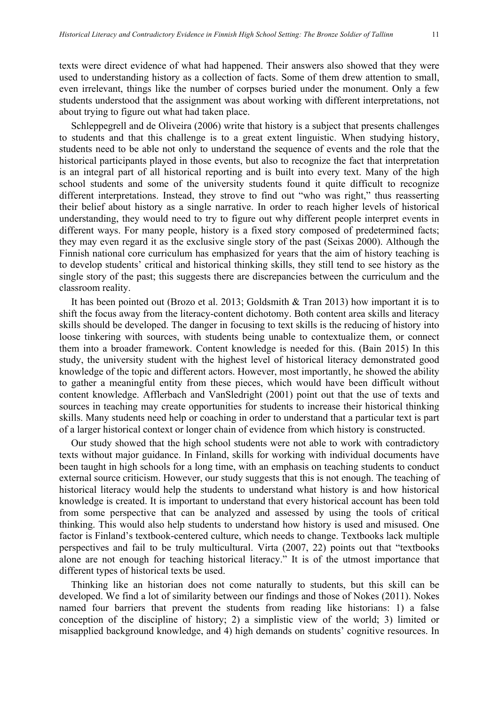texts were direct evidence of what had happened. Their answers also showed that they were used to understanding history as a collection of facts. Some of them drew attention to small, even irrelevant, things like the number of corpses buried under the monument. Only a few students understood that the assignment was about working with different interpretations, not about trying to figure out what had taken place.

Schleppegrell and de Oliveira (2006) write that history is a subject that presents challenges to students and that this challenge is to a great extent linguistic. When studying history, students need to be able not only to understand the sequence of events and the role that the historical participants played in those events, but also to recognize the fact that interpretation is an integral part of all historical reporting and is built into every text. Many of the high school students and some of the university students found it quite difficult to recognize different interpretations. Instead, they strove to find out "who was right," thus reasserting their belief about history as a single narrative. In order to reach higher levels of historical understanding, they would need to try to figure out why different people interpret events in different ways. For many people, history is a fixed story composed of predetermined facts; they may even regard it as the exclusive single story of the past (Seixas 2000). Although the Finnish national core curriculum has emphasized for years that the aim of history teaching is to develop students' critical and historical thinking skills, they still tend to see history as the single story of the past; this suggests there are discrepancies between the curriculum and the classroom reality.

It has been pointed out (Brozo et al. 2013; Goldsmith & Tran 2013) how important it is to shift the focus away from the literacy-content dichotomy. Both content area skills and literacy skills should be developed. The danger in focusing to text skills is the reducing of history into loose tinkering with sources, with students being unable to contextualize them, or connect them into a broader framework. Content knowledge is needed for this. (Bain 2015) In this study, the university student with the highest level of historical literacy demonstrated good knowledge of the topic and different actors. However, most importantly, he showed the ability to gather a meaningful entity from these pieces, which would have been difficult without content knowledge. Afflerbach and VanSledright (2001) point out that the use of texts and sources in teaching may create opportunities for students to increase their historical thinking skills. Many students need help or coaching in order to understand that a particular text is part of a larger historical context or longer chain of evidence from which history is constructed.

Our study showed that the high school students were not able to work with contradictory texts without major guidance. In Finland, skills for working with individual documents have been taught in high schools for a long time, with an emphasis on teaching students to conduct external source criticism. However, our study suggests that this is not enough. The teaching of historical literacy would help the students to understand what history is and how historical knowledge is created. It is important to understand that every historical account has been told from some perspective that can be analyzed and assessed by using the tools of critical thinking. This would also help students to understand how history is used and misused. One factor is Finland's textbook-centered culture, which needs to change. Textbooks lack multiple perspectives and fail to be truly multicultural. Virta (2007, 22) points out that "textbooks alone are not enough for teaching historical literacy." It is of the utmost importance that different types of historical texts be used.

Thinking like an historian does not come naturally to students, but this skill can be developed. We find a lot of similarity between our findings and those of Nokes (2011). Nokes named four barriers that prevent the students from reading like historians: 1) a false conception of the discipline of history; 2) a simplistic view of the world; 3) limited or misapplied background knowledge, and 4) high demands on students' cognitive resources. In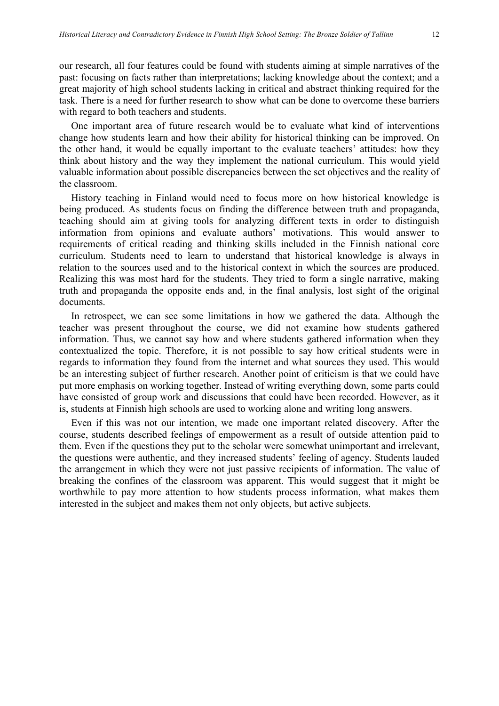our research, all four features could be found with students aiming at simple narratives of the past: focusing on facts rather than interpretations; lacking knowledge about the context; and a great majority of high school students lacking in critical and abstract thinking required for the task. There is a need for further research to show what can be done to overcome these barriers with regard to both teachers and students.

One important area of future research would be to evaluate what kind of interventions change how students learn and how their ability for historical thinking can be improved. On the other hand, it would be equally important to the evaluate teachers' attitudes: how they think about history and the way they implement the national curriculum. This would yield valuable information about possible discrepancies between the set objectives and the reality of the classroom.

History teaching in Finland would need to focus more on how historical knowledge is being produced. As students focus on finding the difference between truth and propaganda, teaching should aim at giving tools for analyzing different texts in order to distinguish information from opinions and evaluate authors' motivations. This would answer to requirements of critical reading and thinking skills included in the Finnish national core curriculum. Students need to learn to understand that historical knowledge is always in relation to the sources used and to the historical context in which the sources are produced. Realizing this was most hard for the students. They tried to form a single narrative, making truth and propaganda the opposite ends and, in the final analysis, lost sight of the original documents.

In retrospect, we can see some limitations in how we gathered the data. Although the teacher was present throughout the course, we did not examine how students gathered information. Thus, we cannot say how and where students gathered information when they contextualized the topic. Therefore, it is not possible to say how critical students were in regards to information they found from the internet and what sources they used. This would be an interesting subject of further research. Another point of criticism is that we could have put more emphasis on working together. Instead of writing everything down, some parts could have consisted of group work and discussions that could have been recorded. However, as it is, students at Finnish high schools are used to working alone and writing long answers.

Even if this was not our intention, we made one important related discovery. After the course, students described feelings of empowerment as a result of outside attention paid to them. Even if the questions they put to the scholar were somewhat unimportant and irrelevant, the questions were authentic, and they increased students' feeling of agency. Students lauded the arrangement in which they were not just passive recipients of information. The value of breaking the confines of the classroom was apparent. This would suggest that it might be worthwhile to pay more attention to how students process information, what makes them interested in the subject and makes them not only objects, but active subjects.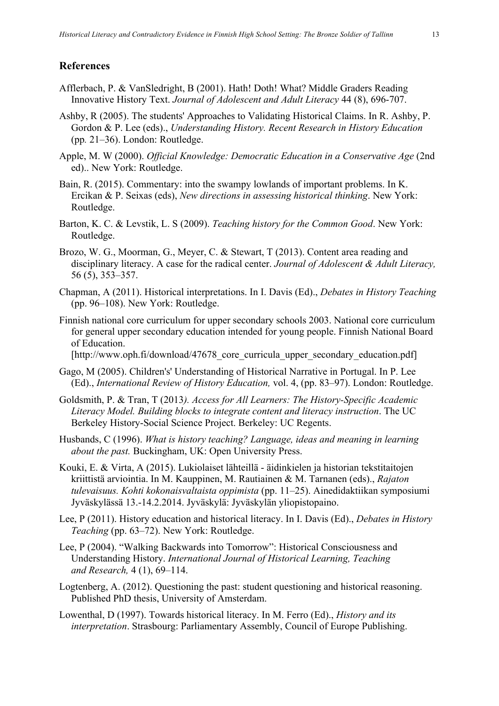## **References**

- Afflerbach, P. & VanSledright, B (2001). Hath! Doth! What? Middle Graders Reading Innovative History Text. *Journal of Adolescent and Adult Literacy* 44 (8), 696-707.
- Ashby, R (2005). The students' Approaches to Validating Historical Claims. In R. Ashby, P. Gordon & P. Lee (eds)., *Understanding History. Recent Research in History Education*  (pp*.* 21–36). London: Routledge.
- Apple, M. W (2000). *Official Knowledge: Democratic Education in a Conservative Age* (2nd ed).. New York: Routledge.
- Bain, R. (2015). Commentary: into the swampy lowlands of important problems. In K. Ercikan & P. Seixas (eds), *New directions in assessing historical thinking*. New York: Routledge.
- Barton, K. C. & Levstik, L. S (2009). *Teaching history for the Common Good*. New York: Routledge.
- Brozo, W. G., Moorman, G., Meyer, C. & Stewart, T (2013). Content area reading and disciplinary literacy. A case for the radical center. *Journal of Adolescent & Adult Literacy,* 56 (5), 353–357.
- Chapman, A (2011). Historical interpretations. In I. Davis (Ed)., *Debates in History Teaching*  (pp. 96–108). New York: Routledge.
- Finnish national core curriculum for upper secondary schools 2003. National core curriculum for general upper secondary education intended for young people. Finnish National Board of Education.

[http://www.oph.fi/download/47678 core curricula upper secondary education.pdf]

- Gago, M (2005). Children's' Understanding of Historical Narrative in Portugal. In P. Lee (Ed)., *International Review of History Education,* vol. 4, (pp. 83–97). London: Routledge.
- Goldsmith, P. & Tran, T (2013*). Access for All Learners: The History-Specific Academic Literacy Model. Building blocks to integrate content and literacy instruction*. The UC Berkeley History-Social Science Project. Berkeley: UC Regents.
- Husbands, C (1996). *What is history teaching? Language, ideas and meaning in learning about the past.* Buckingham, UK: Open University Press.
- Kouki, E. & Virta, A (2015). Lukiolaiset lähteillä äidinkielen ja historian tekstitaitojen kriittistä arviointia. In M. Kauppinen, M. Rautiainen & M. Tarnanen (eds)., *Rajaton tulevaisuus. Kohti kokonaisvaltaista oppimista* (pp. 11–25). Ainedidaktiikan symposiumi Jyväskylässä 13.-14.2.2014. Jyväskylä: Jyväskylän yliopistopaino.
- Lee, P (2011). History education and historical literacy. In I. Davis (Ed)., *Debates in History Teaching* (pp. 63–72). New York: Routledge.
- Lee, P (2004). "Walking Backwards into Tomorrow": Historical Consciousness and Understanding History. *International Journal of Historical Learning, Teaching and Research,* 4 (1), 69–114.
- Logtenberg, A. (2012). Questioning the past: student questioning and historical reasoning. Published PhD thesis, University of Amsterdam.
- Lowenthal, D (1997). Towards historical literacy. In M. Ferro (Ed)., *History and its interpretation*. Strasbourg: Parliamentary Assembly, Council of Europe Publishing.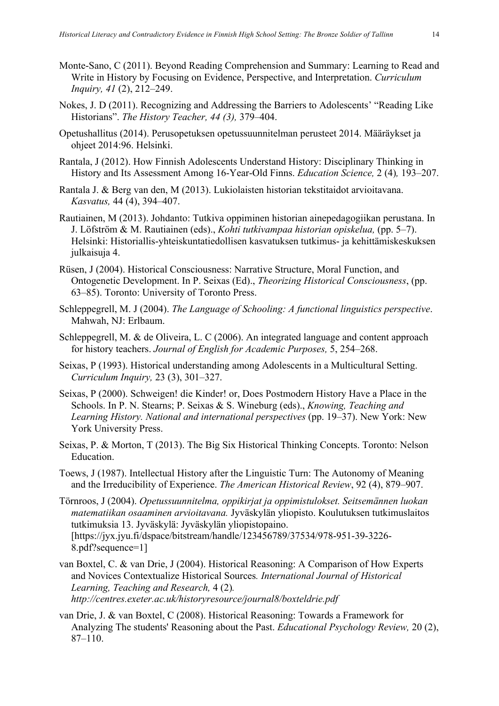- Monte-Sano, C (2011). Beyond Reading Comprehension and Summary: Learning to Read and Write in History by Focusing on Evidence, Perspective, and Interpretation. *Curriculum Inquiry, 41* (2), 212–249.
- Nokes, J. D (2011). Recognizing and Addressing the Barriers to Adolescents' "Reading Like Historians". *The History Teacher, 44 (3),* 379–404.
- Opetushallitus (2014). Perusopetuksen opetussuunnitelman perusteet 2014. Määräykset ja ohjeet 2014:96. Helsinki.
- Rantala, J (2012). How Finnish Adolescents Understand History: Disciplinary Thinking in History and Its Assessment Among 16-Year-Old Finns. *Education Science,* 2 (4)*,* 193–207.
- Rantala J. & Berg van den, M (2013). Lukiolaisten historian tekstitaidot arvioitavana. *Kasvatus,* 44 (4), 394–407.
- Rautiainen, M (2013). Johdanto: Tutkiva oppiminen historian ainepedagogiikan perustana. In J. Löfström & M. Rautiainen (eds)., *Kohti tutkivampaa historian opiskelua,* (pp. 5–7). Helsinki: Historiallis-yhteiskuntatiedollisen kasvatuksen tutkimus- ja kehittämiskeskuksen julkaisuja 4.
- Rüsen, J (2004). Historical Consciousness: Narrative Structure, Moral Function, and Ontogenetic Development. In P. Seixas (Ed)., *Theorizing Historical Consciousness*, (pp. 63–85). Toronto: University of Toronto Press.
- Schleppegrell, M. J (2004). *The Language of Schooling: A functional linguistics perspective*. Mahwah, NJ: Erlbaum.
- Schleppegrell, M. & de Oliveira, L. C (2006). An integrated language and content approach for history teachers. *Journal of English for Academic Purposes,* 5, 254–268.
- Seixas, P (1993). Historical understanding among Adolescents in a Multicultural Setting. *Curriculum Inquiry,* 23 (3), 301–327.
- Seixas, P (2000). Schweigen! die Kinder! or, Does Postmodern History Have a Place in the Schools. In P. N. Stearns; P. Seixas & S. Wineburg (eds)., *Knowing, Teaching and Learning History. National and international perspectives* (pp. 19–37). New York: New York University Press.
- Seixas, P. & Morton, T (2013). The Big Six Historical Thinking Concepts. Toronto: Nelson **Education**
- Toews, J (1987). Intellectual History after the Linguistic Turn: The Autonomy of Meaning and the Irreducibility of Experience. *The American Historical Review*, 92 (4), 879–907.
- Törnroos, J (2004). *Opetussuunnitelma, oppikirjat ja oppimistulokset. Seitsemännen luokan matematiikan osaaminen arvioitavana.* Jyväskylän yliopisto. Koulutuksen tutkimuslaitos tutkimuksia 13. Jyväskylä: Jyväskylän yliopistopaino. [https://jyx.jyu.fi/dspace/bitstream/handle/123456789/37534/978-951-39-3226- 8.pdf?sequence=1]
- van Boxtel, C. & van Drie, J (2004). Historical Reasoning: A Comparison of How Experts and Novices Contextualize Historical Sources*. International Journal of Historical Learning, Teaching and Research,* 4 (2)*. http://centres.exeter.ac.uk/historyresource/journal8/boxteldrie.pdf*
- van Drie, J. & van Boxtel, C (2008). Historical Reasoning: Towards a Framework for Analyzing The students' Reasoning about the Past. *Educational Psychology Review,* 20 (2), 87–110.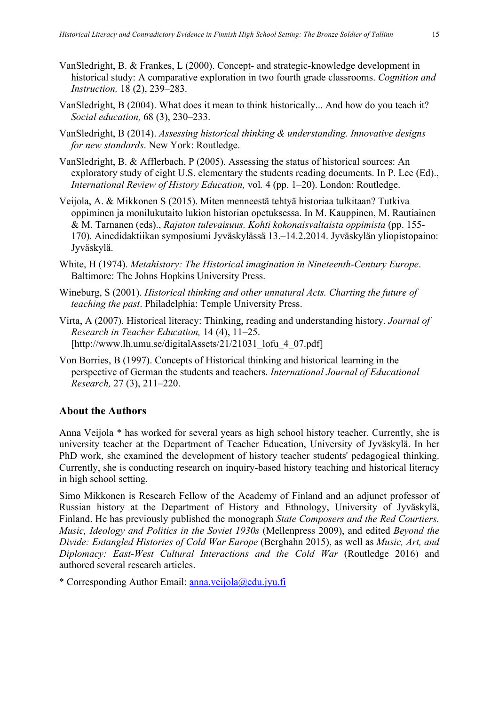- VanSledright, B. & Frankes, L (2000). Concept- and strategic-knowledge development in historical study: A comparative exploration in two fourth grade classrooms. *Cognition and Instruction,* 18 (2), 239–283.
- VanSledright, B (2004). What does it mean to think historically... And how do you teach it? *Social education,* 68 (3), 230–233.
- VanSledright, B (2014). *Assessing historical thinking & understanding. Innovative designs for new standards*. New York: Routledge.
- VanSledright, B. & Afflerbach, P (2005). Assessing the status of historical sources: An exploratory study of eight U.S. elementary the students reading documents. In P. Lee (Ed)., *International Review of History Education, vol.* 4 (pp. 1–20). London: Routledge.
- Veijola, A. & Mikkonen S (2015). Miten menneestä tehtyä historiaa tulkitaan? Tutkiva oppiminen ja monilukutaito lukion historian opetuksessa. In M. Kauppinen, M. Rautiainen & M. Tarnanen (eds)., *Rajaton tulevaisuus. Kohti kokonaisvaltaista oppimista* (pp. 155- 170). Ainedidaktiikan symposiumi Jyväskylässä 13.–14.2.2014. Jyväskylän yliopistopaino: Jyväskylä.
- White, H (1974). *Metahistory: The Historical imagination in Nineteenth-Century Europe*. Baltimore: The Johns Hopkins University Press.
- Wineburg, S (2001). *Historical thinking and other unnatural Acts. Charting the future of teaching the past*. Philadelphia: Temple University Press.
- Virta, A (2007). Historical literacy: Thinking, reading and understanding history. *Journal of Research in Teacher Education,* 14 (4), 11–25. [http://www.lh.umu.se/digitalAssets/21/21031\_lofu\_4\_07.pdf]
- Von Borries, B (1997). Concepts of Historical thinking and historical learning in the perspective of German the students and teachers. *International Journal of Educational Research,* 27 (3), 211–220.

## **About the Authors**

Anna Veijola \* has worked for several years as high school history teacher. Currently, she is university teacher at the Department of Teacher Education, University of Jyväskylä. In her PhD work, she examined the development of history teacher students' pedagogical thinking. Currently, she is conducting research on inquiry-based history teaching and historical literacy in high school setting.

Simo Mikkonen is Research Fellow of the Academy of Finland and an adjunct professor of Russian history at the Department of History and Ethnology, University of Jyväskylä, Finland. He has previously published the monograph *State Composers and the Red Courtiers. Music, Ideology and Politics in the Soviet 1930s* (Mellenpress 2009), and edited *Beyond the Divide: Entangled Histories of Cold War Europe* (Berghahn 2015), as well as *Music, Art, and Diplomacy: East-West Cultural Interactions and the Cold War* (Routledge 2016) and authored several research articles.

\* Corresponding Author Email: anna.veijola@edu.jyu.fi